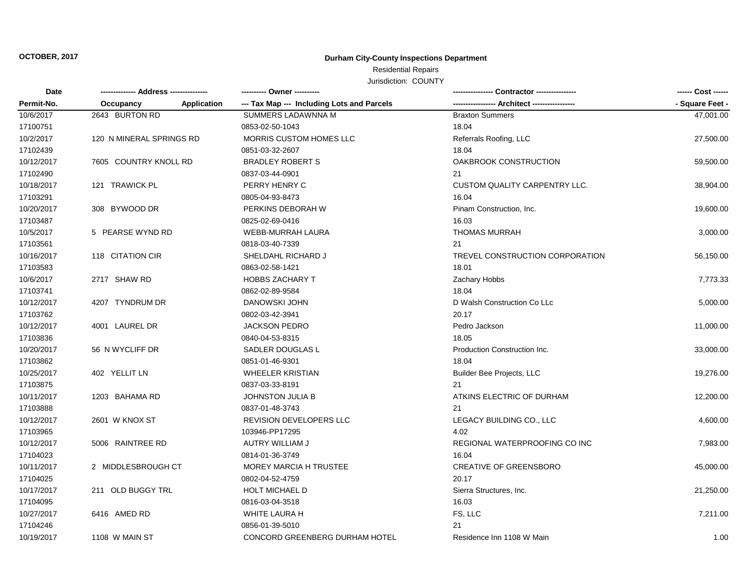# **OCTOBER, 2017 Durham City-County Inspections Department**

# Residential Repairs

Jurisdiction: COUNTY

| Date       | -------------- Address --------------- |             |                                            |                                 | ------ Cost ------ |
|------------|----------------------------------------|-------------|--------------------------------------------|---------------------------------|--------------------|
| Permit-No. | Occupancy                              | Application | --- Tax Map --- Including Lots and Parcels | -- Architect -----              | - Square Feet -    |
| 10/6/2017  | 2643 BURTON RD                         |             | SUMMERS LADAWNNA M                         | <b>Braxton Summers</b>          | 47.001.00          |
| 17100751   |                                        |             | 0853-02-50-1043                            | 18.04                           |                    |
| 10/2/2017  | 120 N MINERAL SPRINGS RD               |             | MORRIS CUSTOM HOMES LLC                    | Referrals Roofing, LLC          | 27,500.00          |
| 17102439   |                                        |             | 0851-03-32-2607                            | 18.04                           |                    |
| 10/12/2017 | 7605 COUNTRY KNOLL RD                  |             | <b>BRADLEY ROBERT S</b>                    | OAKBROOK CONSTRUCTION           | 59,500.00          |
| 17102490   |                                        |             | 0837-03-44-0901                            | 21                              |                    |
| 10/18/2017 | 121 TRAWICK PL                         |             | PERRY HENRY C                              | CUSTOM QUALITY CARPENTRY LLC.   | 38,904.00          |
| 17103291   |                                        |             | 0805-04-93-8473                            | 16.04                           |                    |
| 10/20/2017 | 308 BYWOOD DR                          |             | PERKINS DEBORAH W                          | Pinam Construction, Inc.        | 19,600.00          |
| 17103487   |                                        |             | 0825-02-69-0416                            | 16.03                           |                    |
| 10/5/2017  | 5 PEARSE WYND RD                       |             | WEBB-MURRAH LAURA                          | <b>THOMAS MURRAH</b>            | 3,000.00           |
| 17103561   |                                        |             | 0818-03-40-7339                            | 21                              |                    |
| 10/16/2017 | 118 CITATION CIR                       |             | SHELDAHL RICHARD J                         | TREVEL CONSTRUCTION CORPORATION | 56,150.00          |
| 17103583   |                                        |             | 0863-02-58-1421                            | 18.01                           |                    |
| 10/6/2017  | 2717 SHAW RD                           |             | <b>HOBBS ZACHARY T</b>                     | Zachary Hobbs                   | 7,773.33           |
| 17103741   |                                        |             | 0862-02-89-9584                            | 18.04                           |                    |
| 10/12/2017 | 4207 TYNDRUM DR                        |             | <b>DANOWSKI JOHN</b>                       | D Walsh Construction Co LLc     | 5,000.00           |
| 17103762   |                                        |             | 0802-03-42-3941                            | 20.17                           |                    |
| 10/12/2017 | 4001 LAUREL DR                         |             | <b>JACKSON PEDRO</b>                       | Pedro Jackson                   | 11,000.00          |
| 17103836   |                                        |             | 0840-04-53-8315                            | 18.05                           |                    |
| 10/20/2017 | 56 N WYCLIFF DR                        |             | SADLER DOUGLAS L                           | Production Construction Inc.    | 33,000.00          |
| 17103862   |                                        |             | 0851-01-46-9301                            | 18.04                           |                    |
| 10/25/2017 | 402 YELLIT LN                          |             | <b>WHEELER KRISTIAN</b>                    | Builder Bee Projects, LLC       | 19,276.00          |
| 17103875   |                                        |             | 0837-03-33-8191                            | 21                              |                    |
| 10/11/2017 | 1203 BAHAMA RD                         |             | <b>JOHNSTON JULIA B</b>                    | ATKINS ELECTRIC OF DURHAM       | 12,200.00          |
| 17103888   |                                        |             | 0837-01-48-3743                            | 21                              |                    |
| 10/12/2017 | 2601 W KNOX ST                         |             | <b>REVISION DEVELOPERS LLC</b>             | LEGACY BUILDING CO., LLC        | 4,600.00           |
| 17103965   |                                        |             | 103946-PP17295                             | 4.02                            |                    |
| 10/12/2017 | 5006 RAINTREE RD                       |             | AUTRY WILLIAM J                            | REGIONAL WATERPROOFING CO INC   | 7,983.00           |
| 17104023   |                                        |             | 0814-01-36-3749                            | 16.04                           |                    |
| 10/11/2017 | 2 MIDDLESBROUGH CT                     |             | <b>MOREY MARCIA H TRUSTEE</b>              | <b>CREATIVE OF GREENSBORO</b>   | 45,000.00          |
| 17104025   |                                        |             | 0802-04-52-4759                            | 20.17                           |                    |
| 10/17/2017 | 211 OLD BUGGY TRL                      |             | <b>HOLT MICHAEL D</b>                      | Sierra Structures, Inc.         | 21,250.00          |
| 17104095   |                                        |             | 0816-03-04-3518                            | 16.03                           |                    |
| 10/27/2017 | 6416 AMED RD                           |             | WHITE LAURA H                              | FS, LLC                         | 7,211.00           |
| 17104246   |                                        |             | 0856-01-39-5010                            | 21                              |                    |
| 10/19/2017 | 1108 W MAIN ST                         |             | CONCORD GREENBERG DURHAM HOTEL             | Residence Inn 1108 W Main       | 1.00               |